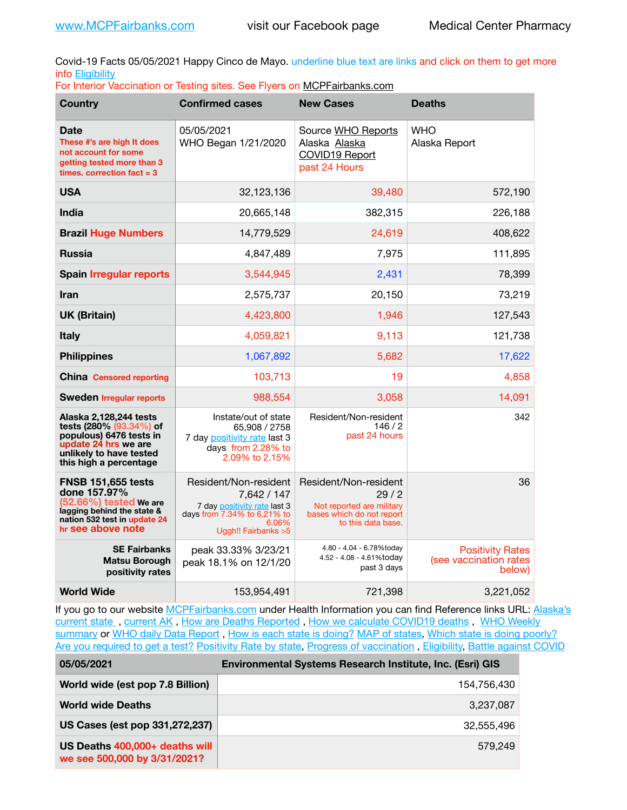Covid-19 Facts 05/05/2021 Happy Cinco de Mayo. underline blue text are links and click on them to get more info [Eligibility](http://dhss.alaska.gov/dph/Epi/id/Pages/COVID-19/VaccineAvailability.aspx)

|  |  |  |  |  | For Interior Vaccination or Testing sites. See Flyers on MCPFairbanks.com |
|--|--|--|--|--|---------------------------------------------------------------------------|
|--|--|--|--|--|---------------------------------------------------------------------------|

| <b>Country</b>                                                                                                                                            | <b>Confirmed cases</b>                                                                                                               | <b>New Cases</b>                                                                                              | <b>Deaths</b>                                               |
|-----------------------------------------------------------------------------------------------------------------------------------------------------------|--------------------------------------------------------------------------------------------------------------------------------------|---------------------------------------------------------------------------------------------------------------|-------------------------------------------------------------|
| Date<br>These #'s are high It does<br>not account for some<br>getting tested more than 3<br>times, correction fact $= 3$                                  | 05/05/2021<br>WHO Began 1/21/2020                                                                                                    | Source WHO Reports<br>Alaska Alaska<br><b>COVID19 Report</b><br>past 24 Hours                                 | <b>WHO</b><br>Alaska Report                                 |
| <b>USA</b>                                                                                                                                                | 32,123,136                                                                                                                           | 39,480                                                                                                        | 572,190                                                     |
| India                                                                                                                                                     | 20,665,148                                                                                                                           | 382,315                                                                                                       | 226,188                                                     |
| <b>Brazil Huge Numbers</b>                                                                                                                                | 14,779,529                                                                                                                           | 24,619                                                                                                        | 408,622                                                     |
| <b>Russia</b>                                                                                                                                             | 4,847,489                                                                                                                            | 7,975                                                                                                         | 111,895                                                     |
| <b>Spain Irregular reports</b>                                                                                                                            | 3,544,945                                                                                                                            | 2,431                                                                                                         | 78,399                                                      |
| <b>Iran</b>                                                                                                                                               | 2,575,737                                                                                                                            | 20,150                                                                                                        | 73,219                                                      |
| <b>UK (Britain)</b>                                                                                                                                       | 4,423,800                                                                                                                            | 1,946                                                                                                         | 127,543                                                     |
| <b>Italy</b>                                                                                                                                              | 4,059,821                                                                                                                            | 9,113                                                                                                         | 121,738                                                     |
| <b>Philippines</b>                                                                                                                                        | 1,067,892                                                                                                                            | 5,682                                                                                                         | 17,622                                                      |
| <b>China Censored reporting</b>                                                                                                                           | 103,713                                                                                                                              | 19                                                                                                            | 4,858                                                       |
| <b>Sweden Irregular reports</b>                                                                                                                           | 988,554                                                                                                                              | 3,058                                                                                                         | 14,091                                                      |
| Alaska 2,128,244 tests<br>tests (280% (93.34%) of<br>populous) 6476 tests in<br>update 24 hrs we are<br>unlikely to have tested<br>this high a percentage | Instate/out of state<br>65,908 / 2758<br>7 day positivity rate last 3<br>days from 2.28% to<br>2.09% to 2.15%                        | Resident/Non-resident<br>146/2<br>past 24 hours                                                               | 342                                                         |
| <b>FNSB 151,655 tests</b><br>done 157.97%<br>(52.66%) tested We are<br>lagging behind the state &<br>nation 532 test in update 24<br>hr see above note    | Resident/Non-resident<br>7,642 / 147<br>7 day positivity rate last 3<br>days from 7.34% to 6.21% to<br>6.06%<br>Uggh!! Fairbanks > 5 | Resident/Non-resident<br>29/2<br>Not reported are military<br>bases which do not report<br>to this data base. | 36                                                          |
| <b>SE Fairbanks</b><br>Matsu Borough<br>positivity rates                                                                                                  | peak 33.33% 3/23/21<br>peak 18.1% on 12/1/20                                                                                         | 4.80 - 4.04 - 6.78%today<br>4.52 - 4.08 - 4.61%today<br>past 3 days                                           | <b>Positivity Rates</b><br>(see vaccination rates<br>below) |
| <b>World Wide</b>                                                                                                                                         | 153,954,491                                                                                                                          | 721,398                                                                                                       | 3,221,052                                                   |

If you go to our website [MCPFairbanks.com](http://www.MCPFairbanks.com) under Health Information you can find Reference links URL: Alaska's [current state](https://coronavirus-response-alaska-dhss.hub.arcgis.com) , [current AK](http://dhss.alaska.gov/dph/Epi/id/Pages/COVID-19/communications.aspx#cases) , [How are Deaths Reported](http://dhss.alaska.gov/dph/Epi/id/Pages/COVID-19/deathcounts.aspx) , [How we calculate COVID19 deaths](https://coronavirus-response-alaska-dhss.hub.arcgis.com/search?collection=Document&groupIds=41ccb3344ebc4bd682c74073eba21f42) , [WHO Weekly](http://www.who.int)  [summary](http://www.who.int) or [WHO daily Data Report](https://covid19.who.int/table), [How is each state is doing?](https://www.msn.com/en-us/news/us/state-by-state-coronavirus-news/ar-BB13E1PX?fbclid=IwAR0_OBJH7lSyTN3ug_MsOeFnNgB1orTa9OBgilKJ7dhnwlVvHEsptuKkj1c) [MAP of states,](https://www.nationalgeographic.com/science/graphics/graphic-tracking-coronavirus-infections-us?cmpid=org=ngp::mc=crm-email::src=ngp::cmp=editorial::add=SpecialEdition_20210305&rid=B9A6DF5992658E8E35CE023113CFEA4C) [Which state is doing poorly?](https://bestlifeonline.com/covid-outbreak-your-state/?utm_source=nsltr&utm_medium=email&utm_content=covid-outbreak-your-state&utm_campaign=launch) [Are you required to get a test?](http://dhss.alaska.gov/dph/Epi/id/SiteAssets/Pages/HumanCoV/Whattodoafteryourtest.pdf) [Positivity Rate by state](https://coronavirus.jhu.edu/testing/individual-states/alaska), Progress of vaccination, [Eligibility,](http://dhss.alaska.gov/dph/Epi/id/Pages/COVID-19/VaccineAvailability.aspx) [Battle against COVID](https://www.nationalgeographic.com/science/graphics/graphic-tracking-coronavirus-infections-us?cmpid=org=ngp::mc=crm-email::src=ngp::cmp=editorial::add=SpecialEdition_20210219&rid=B9A6DF5992658E8E35CE023113CFEA4C)

| 05/05/2021                                                     | Environmental Systems Research Institute, Inc. (Esri) GIS |
|----------------------------------------------------------------|-----------------------------------------------------------|
| World wide (est pop 7.8 Billion)                               | 154,756,430                                               |
| <b>World wide Deaths</b>                                       | 3,237,087                                                 |
| US Cases (est pop 331,272,237)                                 | 32,555,496                                                |
| US Deaths 400,000+ deaths will<br>we see 500,000 by 3/31/2021? | 579.249                                                   |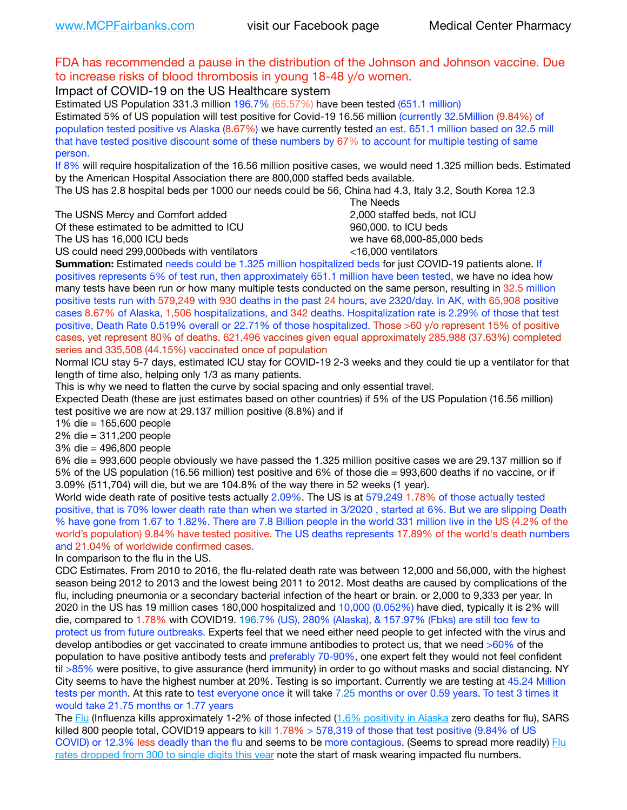## FDA has recommended a pause in the distribution of the Johnson and Johnson vaccine. Due to increase risks of blood thrombosis in young 18-48 y/o women.

Impact of COVID-19 on the US Healthcare system

Estimated US Population 331.3 million 196.7% (65.57%) have been tested (651.1 million) Estimated 5% of US population will test positive for Covid-19 16.56 million (currently 32.5Million (9.84%) of population tested positive vs Alaska (8.67%) we have currently tested an est. 651.1 million based on 32.5 mill that have tested positive discount some of these numbers by 67% to account for multiple testing of same person.

If 8% will require hospitalization of the 16.56 million positive cases, we would need 1.325 million beds. Estimated by the American Hospital Association there are 800,000 staffed beds available.

The US has 2.8 hospital beds per 1000 our needs could be 56, China had 4.3, Italy 3.2, South Korea 12.3

The USNS Mercy and Comfort added 2,000 staffed beds, not ICU

Of these estimated to be admitted to ICU **860,000**, to ICU beds

 The Needs The US has 16,000 ICU beds we have 68,000-85,000 beds

US could need 299,000 beds with ventilators  $\leq$ 16,000 ventilators

**Summation:** Estimated needs could be 1.325 million hospitalized beds for just COVID-19 patients alone. If positives represents 5% of test run, then approximately 651.1 million have been tested, we have no idea how many tests have been run or how many multiple tests conducted on the same person, resulting in 32.5 million positive tests run with 579,249 with 930 deaths in the past 24 hours, ave 2320/day. In AK, with 65,908 positive cases 8.67% of Alaska, 1,506 hospitalizations, and 342 deaths. Hospitalization rate is 2.29% of those that test positive, Death Rate 0.519% overall or 22.71% of those hospitalized. Those >60 y/o represent 15% of positive cases, yet represent 80% of deaths. 621,496 vaccines given equal approximately 285,988 (37.63%) completed series and 335,508 (44.15%) vaccinated once of population

Normal ICU stay 5-7 days, estimated ICU stay for COVID-19 2-3 weeks and they could tie up a ventilator for that length of time also, helping only 1/3 as many patients.

This is why we need to flatten the curve by social spacing and only essential travel.

Expected Death (these are just estimates based on other countries) if 5% of the US Population (16.56 million) test positive we are now at 29.137 million positive (8.8%) and if

1% die = 165,600 people

2% die = 311,200 people

3% die = 496,800 people

6% die = 993,600 people obviously we have passed the 1.325 million positive cases we are 29.137 million so if 5% of the US population (16.56 million) test positive and 6% of those die = 993,600 deaths if no vaccine, or if 3.09% (511,704) will die, but we are 104.8% of the way there in 52 weeks (1 year).

World wide death rate of positive tests actually 2.09%. The US is at 579,249 1.78% of those actually tested positive, that is 70% lower death rate than when we started in 3/2020 , started at 6%. But we are slipping Death % have gone from 1.67 to 1.82%. There are 7.8 Billion people in the world 331 million live in the US (4.2% of the world's population) 9.84% have tested positive. The US deaths represents 17.89% of the world's death numbers and 21.04% of worldwide confirmed cases.

In comparison to the flu in the US.

CDC Estimates. From 2010 to 2016, the flu-related death rate was between 12,000 and 56,000, with the highest season being 2012 to 2013 and the lowest being 2011 to 2012. Most deaths are caused by complications of the flu, including pneumonia or a secondary bacterial infection of the heart or brain. or 2,000 to 9,333 per year. In 2020 in the US has 19 million cases 180,000 hospitalized and 10,000 (0.052%) have died, typically it is 2% will die, compared to 1.78% with COVID19. 196.7% (US), 280% (Alaska), & 157.97% (Fbks) are still too few to protect us from future outbreaks. Experts feel that we need either need people to get infected with the virus and develop antibodies or get vaccinated to create immune antibodies to protect us, that we need >60% of the population to have positive antibody tests and preferably 70-90%, one expert felt they would not feel confident til >85% were positive, to give assurance (herd immunity) in order to go without masks and social distancing. NY City seems to have the highest number at 20%. Testing is so important. Currently we are testing at 45.24 Million tests per month. At this rate to test everyone once it will take 7.25 months or over 0.59 years. To test 3 times it would take 21.75 months or 1.77 years

The [Flu](https://lnks.gd/l/eyJhbGciOiJIUzI1NiJ9.eyJidWxsZXRpbl9saW5rX2lkIjoxMDMsInVyaSI6ImJwMjpjbGljayIsImJ1bGxldGluX2lkIjoiMjAyMTAyMjYuMzYwNDA3NTEiLCJ1cmwiOiJodHRwczovL3d3dy5jZGMuZ292L2ZsdS93ZWVrbHkvb3ZlcnZpZXcuaHRtIn0.ePMA_hsZ-pTnhWSyg1gHvHWYTu2XceVOt0JejxvP1WE/s/500544915/br/98428119752-l) (Influenza kills approximately 1-2% of those infected ([1.6% positivity in Alaska](http://dhss.alaska.gov/dph/Epi/id/SiteAssets/Pages/influenza/trends/Snapshot.pdf) zero deaths for flu), SARS killed 800 people total, COVID19 appears to kill 1.78% > 578,319 of those that test positive (9.84% of US COVID) or 12.3% less deadly than the flu and seems to be more contagious. (Seems to spread more readily) Flu [rates dropped from 300 to single digits this year](https://lnks.gd/l/eyJhbGciOiJIUzI1NiJ9.eyJidWxsZXRpbl9saW5rX2lkIjoxMDEsInVyaSI6ImJwMjpjbGljayIsImJ1bGxldGluX2lkIjoiMjAyMTAyMjYuMzYwNDA3NTEiLCJ1cmwiOiJodHRwOi8vZGhzcy5hbGFza2EuZ292L2RwaC9FcGkvaWQvUGFnZXMvaW5mbHVlbnphL2ZsdWluZm8uYXNweCJ9.oOe3nt2fww6XpsNhb4FZfmtPfPa-irGaldpkURBJhSo/s/500544915/br/98428119752-l) note the start of mask wearing impacted flu numbers.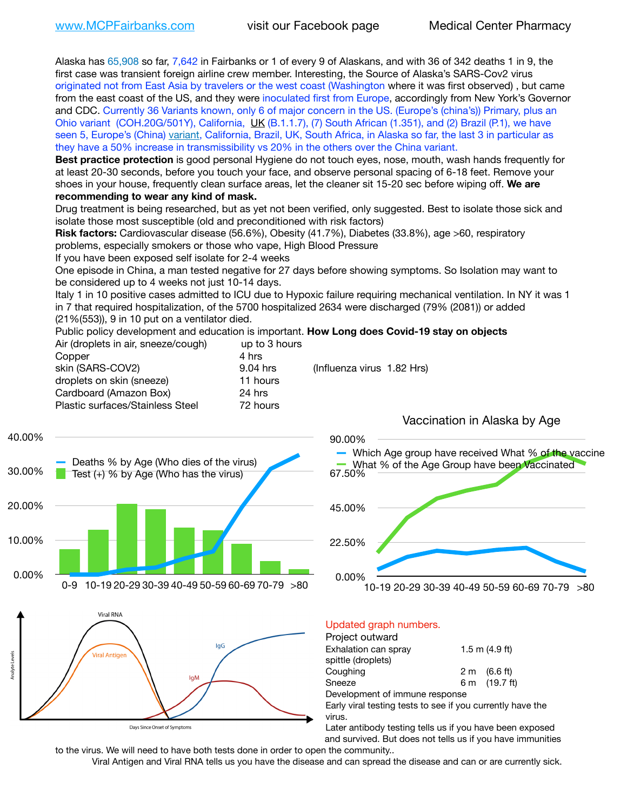Alaska has 65,908 so far, 7,642 in Fairbanks or 1 of every 9 of Alaskans, and with 36 of 342 deaths 1 in 9, the first case was transient foreign airline crew member. Interesting, the Source of Alaska's SARS-Cov2 virus originated not from East Asia by travelers or the west coast (Washington where it was first observed) , but came from the east coast of the US, and they were inoculated first from Europe, accordingly from New York's Governor and CDC. Currently 36 Variants known, only 6 of major concern in the US. (Europe's (china's)) Primary, plus an Ohio variant (COH.20G/501Y), California, [UK](https://www.cdc.gov/coronavirus/2019-ncov/transmission/variant-cases.html) (B.1.1.7), (7) South African (1.351), and (2) Brazil (P.1), we have seen 5, Europe's (China) [variant,](https://www.webmd.com/lung/news/20210318/cdc-who-create-threat-levels-for-covid-variants?ecd=wnl_cvd_031921&ctr=wnl-cvd-031921&mb=kYbf7DsHb7YGjh/1RUkcAW0T6iorImAU1TDZh18RYs0=_Support_titleLink_2) California, Brazil, UK, South Africa, in Alaska so far, the last 3 in particular as they have a 50% increase in transmissibility vs 20% in the others over the China variant.

**Best practice protection** is good personal Hygiene do not touch eyes, nose, mouth, wash hands frequently for at least 20-30 seconds, before you touch your face, and observe personal spacing of 6-18 feet. Remove your shoes in your house, frequently clean surface areas, let the cleaner sit 15-20 sec before wiping off. **We are recommending to wear any kind of mask.**

Drug treatment is being researched, but as yet not been verified, only suggested. Best to isolate those sick and isolate those most susceptible (old and preconditioned with risk factors)

**Risk factors:** Cardiovascular disease (56.6%), Obesity (41.7%), Diabetes (33.8%), age >60, respiratory problems, especially smokers or those who vape, High Blood Pressure

If you have been exposed self isolate for 2-4 weeks

One episode in China, a man tested negative for 27 days before showing symptoms. So Isolation may want to be considered up to 4 weeks not just 10-14 days.

Italy 1 in 10 positive cases admitted to ICU due to Hypoxic failure requiring mechanical ventilation. In NY it was 1 in 7 that required hospitalization, of the 5700 hospitalized 2634 were discharged (79% (2081)) or added (21%(553)), 9 in 10 put on a ventilator died.

90.00%

Public policy development and education is important. **How Long does Covid-19 stay on objects**  $\Delta$ ir (dropleto in air, sneeze/cough) up to 3 hours

| All juroplets in all, sheeze/cought | ap to 3 Hours |                            |
|-------------------------------------|---------------|----------------------------|
| Copper                              | 4 hrs         |                            |
| skin (SARS-COV2)                    | 9.04 hrs      | (Influenza virus 1.82 Hrs) |
| droplets on skin (sneeze)           | 11 hours      |                            |
| Cardboard (Amazon Box)              | 24 hrs        |                            |
| Plastic surfaces/Stainless Steel    | 72 hours      |                            |
|                                     |               |                            |

Vaccination in Alaska by Age







### Updated graph numbers.

| Project outward                                            |                        |
|------------------------------------------------------------|------------------------|
| Exhalation can spray                                       | $1.5$ m $(4.9$ ft)     |
| spittle (droplets)                                         |                        |
| Coughing                                                   | $2 \text{ m}$ (6.6 ft) |
| Sneeze                                                     | 6 m (19.7 ft)          |
| Development of immune response                             |                        |
| Early viral testing tests to see if you currently have the |                        |
| virus.                                                     |                        |

Later antibody testing tells us if you have been exposed and survived. But does not tells us if you have immunities

to the virus. We will need to have both tests done in order to open the community.. Viral Antigen and Viral RNA tells us you have the disease and can spread the disease and can or are currently sick.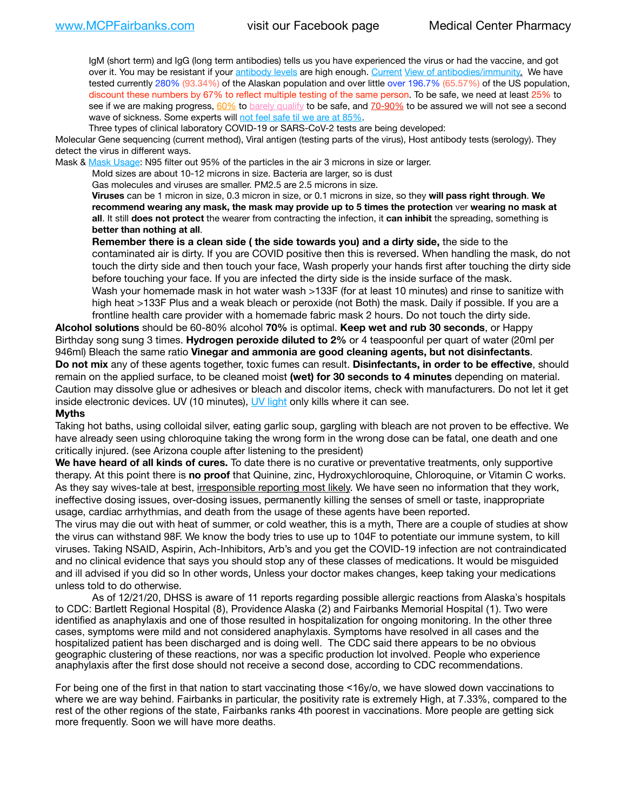IgM (short term) and IgG (long term antibodies) tells us you have experienced the virus or had the vaccine, and got over it. You may be resistant if your [antibody levels](https://www.cdc.gov/coronavirus/2019-ncov/lab/resources/antibody-tests.html) are high enough. [Current](https://l.facebook.com/l.php?u=https://www.itv.com/news/2020-10-26/covid-19-antibody-levels-reduce-over-time-study-finds?fbclid=IwAR3Dapzh1qIH1EIOdUQI2y8THf7jfA4KBCaJz8Qg-8xe1YsrR4nsAHDIXSY&h=AT30nut8pkqp0heVuz5W2rT2WFFm-2Ab52BsJxZZCNlGsX58IpPkuVEPULbIUV_M16MAukx1Kwb657DPXxsgDN1rpOQ4gqBtQsmVYiWpnHPJo2RQsU6CPMd14lgLnQnFWxfVi6zvmw&__tn__=-UK-R&c%5B0%5D=AT1GaRAfR_nGAyqcn7TI1-PpvqOqEKXHnz6TDWvRStMnOSH7boQDvTiwTOc6VId9UES6LKiOmm2m88wKCoolkJyOFvakt2Z1Mw8toYWGGoWW23r0MNVBl7cYJXB_UOvGklNHaNnaNr1_S7NhT3BSykNOBg) [View of antibodies/immunity](https://www.livescience.com/antibodies.html)[.](https://www.itv.com/news/2020-10-26/covid-19-antibody-levels-reduce-over-time-study-finds) We have tested currently 280% (93.34%) of the Alaskan population and over little over 196.7% (65.57%) of the US population, discount these numbers by 67% to reflect multiple testing of the same person. To be safe, we need at least 25% to see if we are making progress, [60%](https://www.jhsph.edu/covid-19/articles/achieving-herd-immunity-with-covid19.html) to [barely qualify](https://www.nature.com/articles/d41586-020-02948-4) to be safe, and [70-90%](https://www.mayoclinic.org/herd-immunity-and-coronavirus/art-20486808) to be assured we will not see a second wave of sickness. Some experts will [not feel safe til we are at 85%.](https://www.bannerhealth.com/healthcareblog/teach-me/what-is-herd-immunity)

Three types of clinical laboratory COVID-19 or SARS-CoV-2 tests are being developed:

Molecular Gene sequencing (current method), Viral antigen (testing parts of the virus), Host antibody tests (serology). They detect the virus in different ways.

Mask & [Mask Usage:](https://www.nationalgeographic.com/history/2020/03/how-cities-flattened-curve-1918-spanish-flu-pandemic-coronavirus/) N95 filter out 95% of the particles in the air 3 microns in size or larger.

Mold sizes are about 10-12 microns in size. Bacteria are larger, so is dust

Gas molecules and viruses are smaller. PM2.5 are 2.5 microns in size.

**Viruses** can be 1 micron in size, 0.3 micron in size, or 0.1 microns in size, so they **will pass right through**. **We recommend wearing any mask, the mask may provide up to 5 times the protection** ver **wearing no mask at all**. It still **does not protect** the wearer from contracting the infection, it **can inhibit** the spreading, something is **better than nothing at all**.

**Remember there is a clean side ( the side towards you) and a dirty side,** the side to the contaminated air is dirty. If you are COVID positive then this is reversed. When handling the mask, do not touch the dirty side and then touch your face, Wash properly your hands first after touching the dirty side before touching your face. If you are infected the dirty side is the inside surface of the mask. Wash your homemade mask in hot water wash >133F (for at least 10 minutes) and rinse to sanitize with high heat >133F Plus and a weak bleach or peroxide (not Both) the mask. Daily if possible. If you are a frontline health care provider with a homemade fabric mask 2 hours. Do not touch the dirty side.

**Alcohol solutions** should be 60-80% alcohol **70%** is optimal. **Keep wet and rub 30 seconds**, or Happy Birthday song sung 3 times. **Hydrogen peroxide diluted to 2%** or 4 teaspoonful per quart of water (20ml per 946ml) Bleach the same ratio **Vinegar and ammonia are good cleaning agents, but not disinfectants**. **Do not mix** any of these agents together, toxic fumes can result. **Disinfectants, in order to be effective**, should remain on the applied surface, to be cleaned moist **(wet) for 30 seconds to 4 minutes** depending on material. Caution may dissolve glue or adhesives or bleach and discolor items, check with manufacturers. Do not let it get inside electronic devices. UV (10 minutes), [UV light](http://www.docreviews.me/best-uv-boxes-2020/?fbclid=IwAR3bvFtXB48OoBBSvYvTEnKuHNPbipxM6jUo82QUSw9wckxjC7wwRZWabGw) only kills where it can see.

#### **Myths**

Taking hot baths, using colloidal silver, eating garlic soup, gargling with bleach are not proven to be effective. We have already seen using chloroquine taking the wrong form in the wrong dose can be fatal, one death and one critically injured. (see Arizona couple after listening to the president)

**We have heard of all kinds of cures.** To date there is no curative or preventative treatments, only supportive therapy. At this point there is **no proof** that Quinine, zinc, Hydroxychloroquine, Chloroquine, or Vitamin C works. As they say wives-tale at best, irresponsible reporting most likely. We have seen no information that they work, ineffective dosing issues, over-dosing issues, permanently killing the senses of smell or taste, inappropriate usage, cardiac arrhythmias, and death from the usage of these agents have been reported.

The virus may die out with heat of summer, or cold weather, this is a myth, There are a couple of studies at show the virus can withstand 98F. We know the body tries to use up to 104F to potentiate our immune system, to kill viruses. Taking NSAID, Aspirin, Ach-Inhibitors, Arb's and you get the COVID-19 infection are not contraindicated and no clinical evidence that says you should stop any of these classes of medications. It would be misguided and ill advised if you did so In other words, Unless your doctor makes changes, keep taking your medications unless told to do otherwise.

As of 12/21/20, DHSS is aware of 11 reports regarding possible allergic reactions from Alaska's hospitals to CDC: Bartlett Regional Hospital (8), Providence Alaska (2) and Fairbanks Memorial Hospital (1). Two were identified as anaphylaxis and one of those resulted in hospitalization for ongoing monitoring. In the other three cases, symptoms were mild and not considered anaphylaxis. Symptoms have resolved in all cases and the hospitalized patient has been discharged and is doing well. The CDC said there appears to be no obvious geographic clustering of these reactions, nor was a specific production lot involved. People who experience anaphylaxis after the first dose should not receive a second dose, according to CDC recommendations.

For being one of the first in that nation to start vaccinating those <16y/o, we have slowed down vaccinations to where we are way behind. Fairbanks in particular, the positivity rate is extremely High, at 7.33%, compared to the rest of the other regions of the state, Fairbanks ranks 4th poorest in vaccinations. More people are getting sick more frequently. Soon we will have more deaths.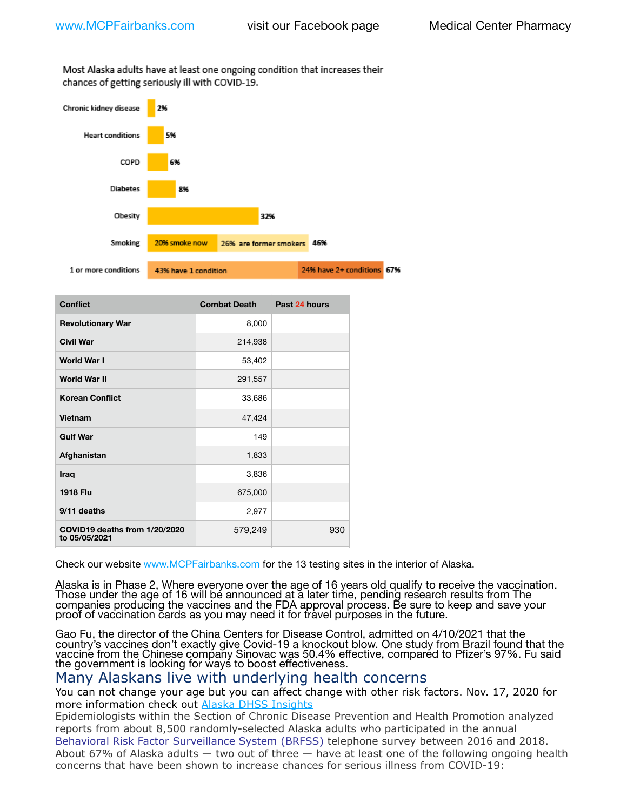Most Alaska adults have at least one ongoing condition that increases their chances of getting seriously ill with COVID-19.



| <b>Conflict</b>                                | <b>Combat Death</b> | Past 24 hours |
|------------------------------------------------|---------------------|---------------|
| <b>Revolutionary War</b>                       | 8,000               |               |
| <b>Civil War</b>                               | 214,938             |               |
| World War I                                    | 53,402              |               |
| <b>World War II</b>                            | 291,557             |               |
| <b>Korean Conflict</b>                         | 33,686              |               |
| Vietnam                                        | 47,424              |               |
| <b>Gulf War</b>                                | 149                 |               |
| Afghanistan                                    | 1,833               |               |
| Iraq                                           | 3,836               |               |
| <b>1918 Flu</b>                                | 675,000             |               |
| 9/11 deaths                                    | 2,977               |               |
| COVID19 deaths from 1/20/2020<br>to 05/05/2021 | 579,249             | 930           |

Check our website [www.MCPFairbanks.com](http://www.MCPFairbanks.com) for the 13 testing sites in the interior of Alaska.

Alaska is in Phase 2, Where everyone over the age of 16 years old qualify to receive the vaccination. Those under the age of 16 will be announced at a later time, pending research results from The companies producing the vaccines and the FDA approval process. Be sure to keep and save your proof of vaccination cards as you may need it for travel purposes in the future.

Gao Fu, the director of the China Centers for Disease Control, admitted on 4/10/2021 that the country's vaccines don't exactly give Covid-19 a knockout blow. One study from Brazil found that the vaccine from the Chinese company Sinovac was 50.4% effective, compared to Pfizer's 97%. Fu said the government is looking for ways to boost effectiveness.

## Many Alaskans live with underlying health concerns

You can not change your age but you can affect change with other risk factors. Nov. 17, 2020 for more information check out [Alaska DHSS Insights](http://dhss.alaska.gov/dph/Epi/id/Pages/COVID-19/blog/20201117.aspx)

Epidemiologists within the Section of Chronic Disease Prevention and Health Promotion analyzed reports from about 8,500 randomly-selected Alaska adults who participated in the annual [Behavioral Risk Factor Surveillance System \(BRFSS\)](http://dhss.alaska.gov/dph/Chronic/Pages/brfss/default.aspx) telephone survey between 2016 and 2018. About 67% of Alaska adults — two out of three — have at least one of the following ongoing health concerns that have been shown to increase chances for serious illness from COVID-19: